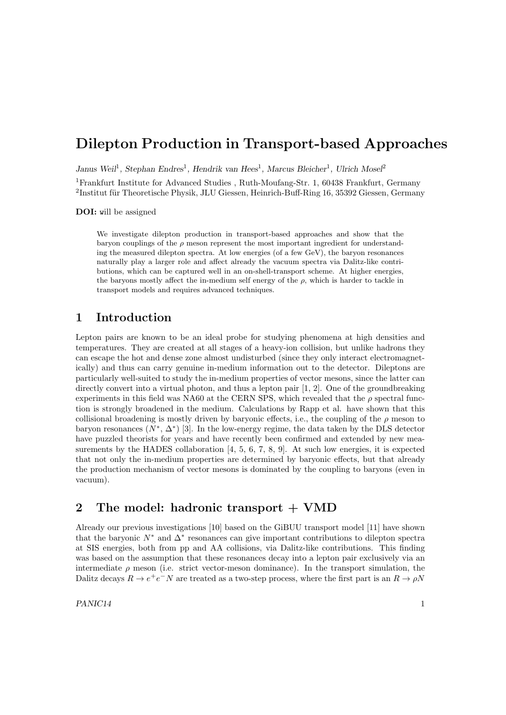# Dilepton Production in Transport-based Approaches

Janus Weil<sup>1</sup>, Stephan Endres<sup>1</sup>, Hendrik van Hees<sup>1</sup>, Marcus Bleicher<sup>1</sup>, Ulrich Mosel<sup>2</sup> <sup>1</sup>Frankfurt Institute for Advanced Studies , Ruth-Moufang-Str. 1, 60438 Frankfurt, Germany  ${}^{2}$ Institut für Theoretische Physik, JLU Giessen, Heinrich-Buff-Ring 16, 35392 Giessen, Germany

DOI: will be assigned

We investigate dilepton production in transport-based approaches and show that the baryon couplings of the  $\rho$  meson represent the most important ingredient for understanding the measured dilepton spectra. At low energies (of a few GeV), the baryon resonances naturally play a larger role and affect already the vacuum spectra via Dalitz-like contributions, which can be captured well in an on-shell-transport scheme. At higher energies, the baryons mostly affect the in-medium self energy of the  $\rho$ , which is harder to tackle in transport models and requires advanced techniques.

# 1 Introduction

Lepton pairs are known to be an ideal probe for studying phenomena at high densities and temperatures. They are created at all stages of a heavy-ion collision, but unlike hadrons they can escape the hot and dense zone almost undisturbed (since they only interact electromagnetically) and thus can carry genuine in-medium information out to the detector. Dileptons are particularly well-suited to study the in-medium properties of vector mesons, since the latter can directly convert into a virtual photon, and thus a lepton pair [1, 2]. One of the groundbreaking experiments in this field was NA60 at the CERN SPS, which revealed that the  $\rho$  spectral function is strongly broadened in the medium. Calculations by Rapp et al. have shown that this collisional broadening is mostly driven by baryonic effects, i.e., the coupling of the  $\rho$  meson to baryon resonances  $(N^*, \Delta^*)$  [3]. In the low-energy regime, the data taken by the DLS detector have puzzled theorists for years and have recently been confirmed and extended by new measurements by the HADES collaboration  $[4, 5, 6, 7, 8, 9]$ . At such low energies, it is expected that not only the in-medium properties are determined by baryonic effects, but that already the production mechanism of vector mesons is dominated by the coupling to baryons (even in vacuum).

# 2 The model: hadronic transport + VMD

Already our previous investigations [10] based on the GiBUU transport model [11] have shown that the baryonic  $N^*$  and  $\Delta^*$  resonances can give important contributions to dilepton spectra at SIS energies, both from pp and AA collisions, via Dalitz-like contributions. This finding was based on the assumption that these resonances decay into a lepton pair exclusively via an intermediate  $\rho$  meson (i.e. strict vector-meson dominance). In the transport simulation, the Dalitz decays  $R \to e^+e^-N$  are treated as a two-step process, where the first part is an  $R \to \rho N$ 

 $PANIC14$  1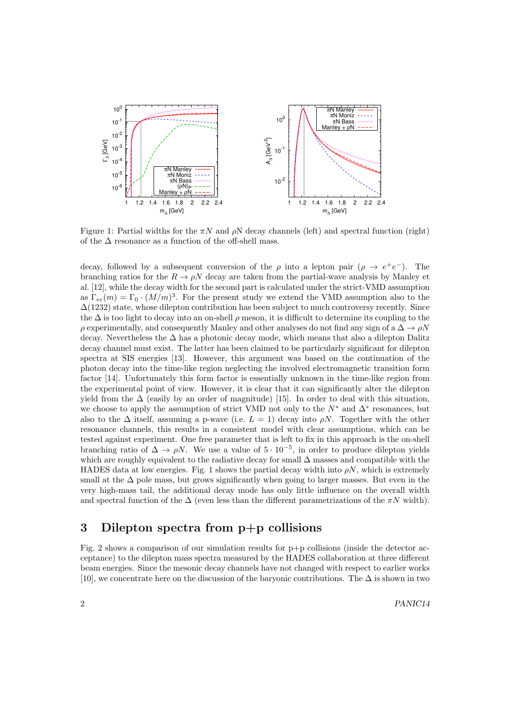

Figure 1: Partial widths for the  $\pi N$  and  $\rho N$  decay channels (left) and spectral function (right) of the  $\Delta$  resonance as a function of the off-shell mass.

decay, followed by a subsequent conversion of the  $\rho$  into a lepton pair  $(\rho \to e^+e^-)$ . The branching ratios for the  $R \to \rho N$  decay are taken from the partial-wave analysis by Manley et al. [12], while the decay width for the second part is calculated under the strict-VMD assumption as  $\Gamma_{ee}(m) = \Gamma_0 \cdot (M/m)^3$ . For the present study we extend the VMD assumption also to the  $\Delta(1232)$  state, whose dilepton contribution has been subject to much controversy recently. Since the  $\Delta$  is too light to decay into an on-shell  $\rho$  meson, it is difficult to determine its coupling to the  $\rho$  experimentally, and consequently Manley and other analyses do not find any sign of a  $\Delta \to \rho N$ decay. Nevertheless the ∆ has a photonic decay mode, which means that also a dilepton Dalitz decay channel must exist. The latter has been claimed to be particularly significant for dilepton spectra at SIS energies [13]. However, this argument was based on the continuation of the photon decay into the time-like region neglecting the involved electromagnetic transition form factor [14]. Unfortunately this form factor is essentially unknown in the time-like region from the experimental point of view. However, it is clear that it can significantly alter the dilepton yield from the  $\Delta$  (easily by an order of magnitude) [15]. In order to deal with this situation, we choose to apply the assumption of strict VMD not only to the  $N^*$  and  $\Delta^*$  resonances, but also to the  $\Delta$  itself, assuming a p-wave (i.e.  $L = 1$ ) decay into  $\rho N$ . Together with the other resonance channels, this results in a consistent model with clear assumptions, which can be tested against experiment. One free parameter that is left to fix in this approach is the on-shell branching ratio of  $\Delta \to \rho N$ . We use a value of  $5 \cdot 10^{-5}$ , in order to produce dilepton yields which are roughly equivalent to the radiative decay for small  $\Delta$  masses and compatible with the HADES data at low energies. Fig. 1 shows the partial decay width into  $\rho N$ , which is extremely small at the  $\Delta$  pole mass, but grows significantly when going to larger masses. But even in the very high-mass tail, the additional decay mode has only little influence on the overall width and spectral function of the  $\Delta$  (even less than the different parametrizations of the  $\pi N$  width).

# 3 Dilepton spectra from p+p collisions

Fig. 2 shows a comparison of our simulation results for  $p+p$  collisions (inside the detector acceptance) to the dilepton mass spectra measured by the HADES collaboration at three different beam energies. Since the mesonic decay channels have not changed with respect to earlier works [10], we concentrate here on the discussion of the baryonic contributions. The  $\Delta$  is shown in two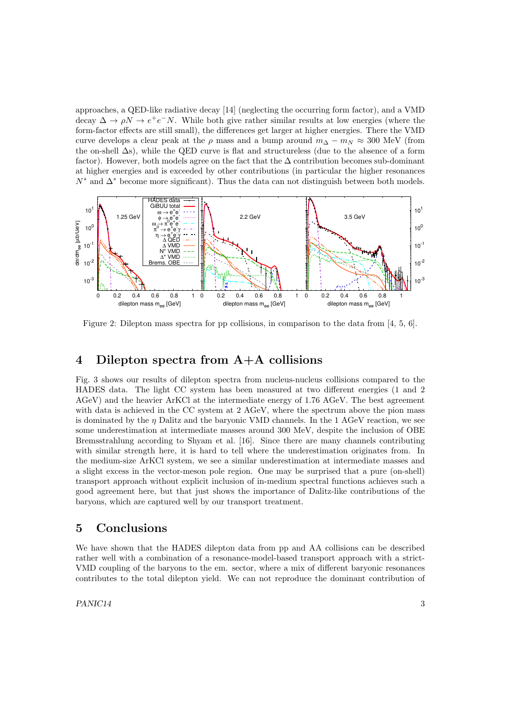approaches, a QED-like radiative decay [14] (neglecting the occurring form factor), and a VMD decay  $\Delta \to \rho N \to e^+e^-N$ . While both give rather similar results at low energies (where the form-factor effects are still small), the differences get larger at higher energies. There the VMD curve develops a clear peak at the  $\rho$  mass and a bump around  $m_{\Delta} - m_N \approx 300$  MeV (from the on-shell ∆s), while the QED curve is flat and structureless (due to the absence of a form factor). However, both models agree on the fact that the  $\Delta$  contribution becomes sub-dominant at higher energies and is exceeded by other contributions (in particular the higher resonances  $N^*$  and  $\Delta^*$  become more significant). Thus the data can not distinguish between both models.



Figure 2: Dilepton mass spectra for pp collisions, in comparison to the data from [4, 5, 6].

#### 4 Dilepton spectra from A+A collisions

Fig. 3 shows our results of dilepton spectra from nucleus-nucleus collisions compared to the HADES data. The light CC system has been measured at two different energies (1 and 2 AGeV) and the heavier ArKCl at the intermediate energy of 1.76 AGeV. The best agreement with data is achieved in the CC system at 2 AGeV, where the spectrum above the pion mass is dominated by the  $\eta$  Dalitz and the baryonic VMD channels. In the 1 AGeV reaction, we see some underestimation at intermediate masses around 300 MeV, despite the inclusion of OBE Bremsstrahlung according to Shyam et al. [16]. Since there are many channels contributing with similar strength here, it is hard to tell where the underestimation originates from. In the medium-size ArKCl system, we see a similar underestimation at intermediate masses and a slight excess in the vector-meson pole region. One may be surprised that a pure (on-shell) transport approach without explicit inclusion of in-medium spectral functions achieves such a good agreement here, but that just shows the importance of Dalitz-like contributions of the baryons, which are captured well by our transport treatment.

#### 5 Conclusions

We have shown that the HADES dilepton data from pp and AA collisions can be described rather well with a combination of a resonance-model-based transport approach with a strict-VMD coupling of the baryons to the em. sector, where a mix of different baryonic resonances contributes to the total dilepton yield. We can not reproduce the dominant contribution of

 $PANIC14$  3